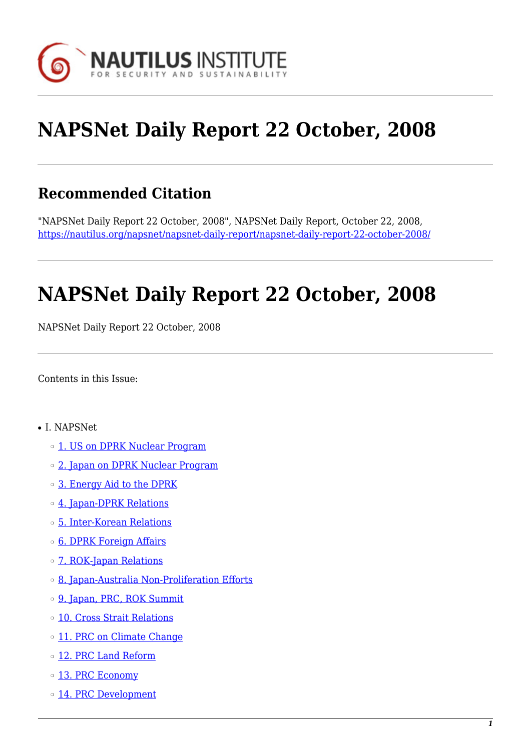

# **NAPSNet Daily Report 22 October, 2008**

# **Recommended Citation**

"NAPSNet Daily Report 22 October, 2008", NAPSNet Daily Report, October 22, 2008, <https://nautilus.org/napsnet/napsnet-daily-report/napsnet-daily-report-22-october-2008/>

# **NAPSNet Daily Report 22 October, 2008**

NAPSNet Daily Report 22 October, 2008

<span id="page-0-0"></span>Contents in this Issue:

- I. NAPSNet
	- o [1. US on DPRK Nuclear Program](#page-1-0)
	- o [2. Japan on DPRK Nuclear Program](#page-1-1)
	- ❍ [3. Energy Aid to the DPRK](#page-1-2)
	- o [4. Japan-DPRK Relations](#page-2-0)
	- ❍ [5. Inter-Korean Relations](#page-2-1)
	- ❍ [6. DPRK Foreign Affairs](#page-2-2)
	- ❍ [7. ROK-Japan Relations](#page-3-0)
	- ❍ [8. Japan-Australia Non-Proliferation Efforts](#page-3-1)
	- ❍ [9. Japan, PRC, ROK Summit](#page-3-2)
	- ❍ [10. Cross Strait Relations](#page-3-3)
	- o [11. PRC on Climate Change](#page-4-0)
	- o [12. PRC Land Reform](#page-4-1)
	- o [13. PRC Economy](#page-4-2)
	- o [14. PRC Development](#page-4-3)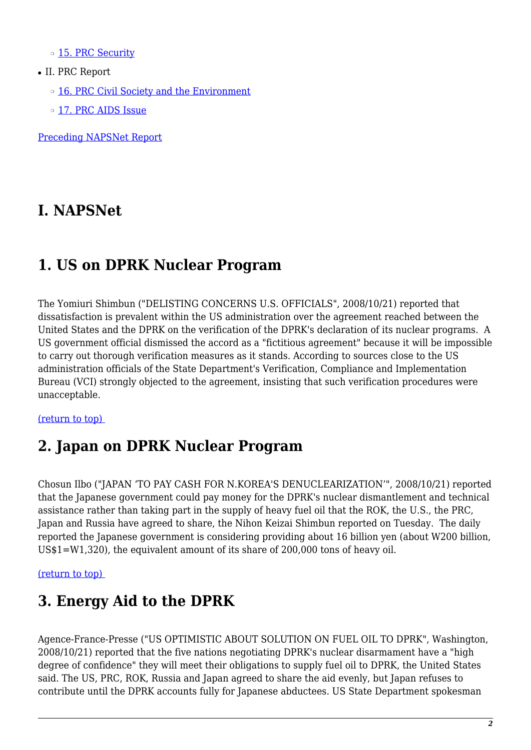o [15. PRC Security](#page-5-0)

- II. PRC Report
	- o [16. PRC Civil Society and the Environment](#page-5-1)
	- ❍ [17. PRC AIDS Issue](#page-5-2)

[Preceding NAPSNet Report](https://nautilus.org/mailing-lists/napsnet/dr/2008-2/napsnet-daily-report-21-october-2008/)

### **I. NAPSNet**

# <span id="page-1-0"></span>**1. US on DPRK Nuclear Program**

The Yomiuri Shimbun ("DELISTING CONCERNS U.S. OFFICIALS", 2008/10/21) reported that dissatisfaction is prevalent within the US administration over the agreement reached between the United States and the DPRK on the verification of the DPRK's declaration of its nuclear programs. A US government official dismissed the accord as a "fictitious agreement" because it will be impossible to carry out thorough verification measures as it stands. According to sources close to the US administration officials of the State Department's Verification, Compliance and Implementation Bureau (VCI) strongly objected to the agreement, insisting that such verification procedures were unacceptable.

#### <span id="page-1-1"></span>[\(return to top\)](#page-0-0)

### **2. Japan on DPRK Nuclear Program**

Chosun Ilbo ("JAPAN 'TO PAY CASH FOR N.KOREA'S DENUCLEARIZATION'", 2008/10/21) reported that the Japanese government could pay money for the DPRK's nuclear dismantlement and technical assistance rather than taking part in the supply of heavy fuel oil that the ROK, the U.S., the PRC, Japan and Russia have agreed to share, the Nihon Keizai Shimbun reported on Tuesday. The daily reported the Japanese government is considering providing about 16 billion yen (about W200 billion, US\$1=W1,320), the equivalent amount of its share of 200,000 tons of heavy oil.

<span id="page-1-2"></span>[\(return to top\)](#page-0-0) 

### **3. Energy Aid to the DPRK**

Agence-France-Presse ("US OPTIMISTIC ABOUT SOLUTION ON FUEL OIL TO DPRK", Washington, 2008/10/21) reported that the five nations negotiating DPRK's nuclear disarmament have a "high degree of confidence" they will meet their obligations to supply fuel oil to DPRK, the United States said. The US, PRC, ROK, Russia and Japan agreed to share the aid evenly, but Japan refuses to contribute until the DPRK accounts fully for Japanese abductees. US State Department spokesman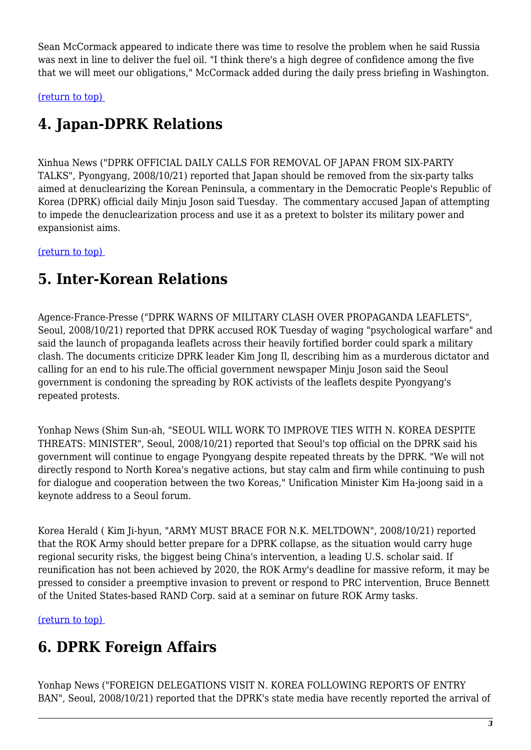Sean McCormack appeared to indicate there was time to resolve the problem when he said Russia was next in line to deliver the fuel oil. "I think there's a high degree of confidence among the five that we will meet our obligations," McCormack added during the daily press briefing in Washington.

<span id="page-2-0"></span>[\(return to top\)](#page-0-0) 

# **4. Japan-DPRK Relations**

Xinhua News ("DPRK OFFICIAL DAILY CALLS FOR REMOVAL OF JAPAN FROM SIX-PARTY TALKS", Pyongyang, 2008/10/21) reported that Japan should be removed from the six-party talks aimed at denuclearizing the Korean Peninsula, a commentary in the Democratic People's Republic of Korea (DPRK) official daily Minju Joson said Tuesday. The commentary accused Japan of attempting to impede the denuclearization process and use it as a pretext to bolster its military power and expansionist aims.

<span id="page-2-1"></span>[\(return to top\)](#page-0-0) 

# **5. Inter-Korean Relations**

Agence-France-Presse ("DPRK WARNS OF MILITARY CLASH OVER PROPAGANDA LEAFLETS", Seoul, 2008/10/21) reported that DPRK accused ROK Tuesday of waging "psychological warfare" and said the launch of propaganda leaflets across their heavily fortified border could spark a military clash. The documents criticize DPRK leader Kim Jong Il, describing him as a murderous dictator and calling for an end to his rule.The official government newspaper Minju Joson said the Seoul government is condoning the spreading by ROK activists of the leaflets despite Pyongyang's repeated protests.

Yonhap News (Shim Sun-ah, "SEOUL WILL WORK TO IMPROVE TIES WITH N. KOREA DESPITE THREATS: MINISTER", Seoul, 2008/10/21) reported that Seoul's top official on the DPRK said his government will continue to engage Pyongyang despite repeated threats by the DPRK. "We will not directly respond to North Korea's negative actions, but stay calm and firm while continuing to push for dialogue and cooperation between the two Koreas," Unification Minister Kim Ha-joong said in a keynote address to a Seoul forum.

Korea Herald ( Kim Ji-hyun, "ARMY MUST BRACE FOR N.K. MELTDOWN", 2008/10/21) reported that the ROK Army should better prepare for a DPRK collapse, as the situation would carry huge regional security risks, the biggest being China's intervention, a leading U.S. scholar said. If reunification has not been achieved by 2020, the ROK Army's deadline for massive reform, it may be pressed to consider a preemptive invasion to prevent or respond to PRC intervention, Bruce Bennett of the United States-based RAND Corp. said at a seminar on future ROK Army tasks.

<span id="page-2-2"></span>[\(return to top\)](#page-0-0) 

# **6. DPRK Foreign Affairs**

Yonhap News ("FOREIGN DELEGATIONS VISIT N. KOREA FOLLOWING REPORTS OF ENTRY BAN", Seoul, 2008/10/21) reported that the DPRK's state media have recently reported the arrival of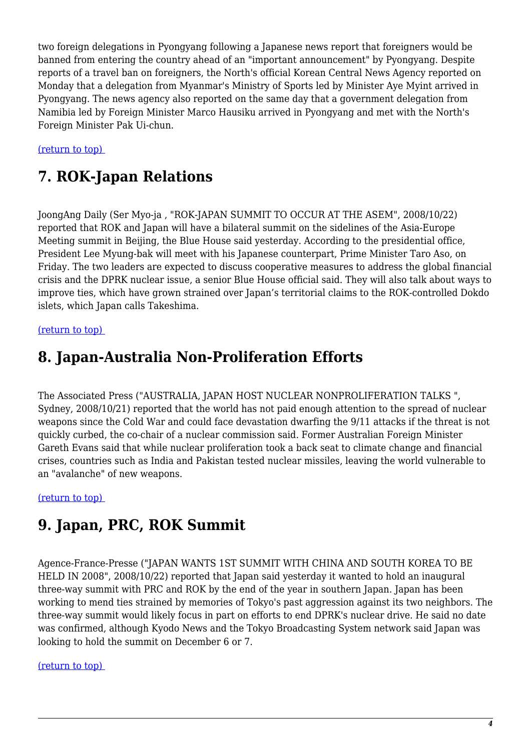two foreign delegations in Pyongyang following a Japanese news report that foreigners would be banned from entering the country ahead of an "important announcement" by Pyongyang. Despite reports of a travel ban on foreigners, the North's official Korean Central News Agency reported on Monday that a delegation from Myanmar's Ministry of Sports led by Minister Aye Myint arrived in Pyongyang. The news agency also reported on the same day that a government delegation from Namibia led by Foreign Minister Marco Hausiku arrived in Pyongyang and met with the North's Foreign Minister Pak Ui-chun.

<span id="page-3-0"></span>[\(return to top\)](#page-0-0) 

# **7. ROK-Japan Relations**

JoongAng Daily (Ser Myo-ja , "ROK-JAPAN SUMMIT TO OCCUR AT THE ASEM", 2008/10/22) reported that ROK and Japan will have a bilateral summit on the sidelines of the Asia-Europe Meeting summit in Beijing, the Blue House said yesterday. According to the presidential office, President Lee Myung-bak will meet with his Japanese counterpart, Prime Minister Taro Aso, on Friday. The two leaders are expected to discuss cooperative measures to address the global financial crisis and the DPRK nuclear issue, a senior Blue House official said. They will also talk about ways to improve ties, which have grown strained over Japan's territorial claims to the ROK-controlled Dokdo islets, which Japan calls Takeshima.

#### <span id="page-3-1"></span>[\(return to top\)](#page-0-0)

### **8. Japan-Australia Non-Proliferation Efforts**

The Associated Press ("AUSTRALIA, JAPAN HOST NUCLEAR NONPROLIFERATION TALKS ", Sydney, 2008/10/21) reported that the world has not paid enough attention to the spread of nuclear weapons since the Cold War and could face devastation dwarfing the 9/11 attacks if the threat is not quickly curbed, the co-chair of a nuclear commission said. Former Australian Foreign Minister Gareth Evans said that while nuclear proliferation took a back seat to climate change and financial crises, countries such as India and Pakistan tested nuclear missiles, leaving the world vulnerable to an "avalanche" of new weapons.

<span id="page-3-2"></span>[\(return to top\)](#page-0-0) 

# **9. Japan, PRC, ROK Summit**

Agence-France-Presse ("JAPAN WANTS 1ST SUMMIT WITH CHINA AND SOUTH KOREA TO BE HELD IN 2008", 2008/10/22) reported that Japan said yesterday it wanted to hold an inaugural three-way summit with PRC and ROK by the end of the year in southern Japan. Japan has been working to mend ties strained by memories of Tokyo's past aggression against its two neighbors. The three-way summit would likely focus in part on efforts to end DPRK's nuclear drive. He said no date was confirmed, although Kyodo News and the Tokyo Broadcasting System network said Japan was looking to hold the summit on December 6 or 7.

#### <span id="page-3-3"></span>[\(return to top\)](#page-0-0)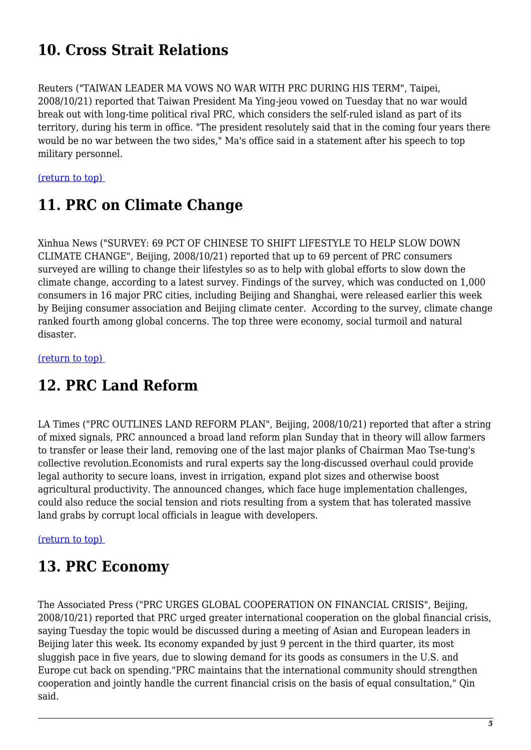# **10. Cross Strait Relations**

Reuters ("TAIWAN LEADER MA VOWS NO WAR WITH PRC DURING HIS TERM", Taipei, 2008/10/21) reported that Taiwan President Ma Ying-jeou vowed on Tuesday that no war would break out with long-time political rival PRC, which considers the self-ruled island as part of its territory, during his term in office. "The president resolutely said that in the coming four years there would be no war between the two sides," Ma's office said in a statement after his speech to top military personnel.

<span id="page-4-0"></span>[\(return to top\)](#page-0-0) 

### **11. PRC on Climate Change**

Xinhua News ("SURVEY: 69 PCT OF CHINESE TO SHIFT LIFESTYLE TO HELP SLOW DOWN CLIMATE CHANGE", Beijing, 2008/10/21) reported that up to 69 percent of PRC consumers surveyed are willing to change their lifestyles so as to help with global efforts to slow down the climate change, according to a latest survey. Findings of the survey, which was conducted on 1,000 consumers in 16 major PRC cities, including Beijing and Shanghai, were released earlier this week by Beijing consumer association and Beijing climate center. According to the survey, climate change ranked fourth among global concerns. The top three were economy, social turmoil and natural disaster.

<span id="page-4-1"></span>[\(return to top\)](#page-0-0) 

### **12. PRC Land Reform**

LA Times ("PRC OUTLINES LAND REFORM PLAN", Beijing, 2008/10/21) reported that after a string of mixed signals, PRC announced a broad land reform plan Sunday that in theory will allow farmers to transfer or lease their land, removing one of the last major planks of Chairman Mao Tse-tung's collective revolution.Economists and rural experts say the long-discussed overhaul could provide legal authority to secure loans, invest in irrigation, expand plot sizes and otherwise boost agricultural productivity. The announced changes, which face huge implementation challenges, could also reduce the social tension and riots resulting from a system that has tolerated massive land grabs by corrupt local officials in league with developers.

#### <span id="page-4-2"></span>[\(return to top\)](#page-0-0)

### **13. PRC Economy**

<span id="page-4-3"></span>The Associated Press ("PRC URGES GLOBAL COOPERATION ON FINANCIAL CRISIS", Beijing, 2008/10/21) reported that PRC urged greater international cooperation on the global financial crisis, saying Tuesday the topic would be discussed during a meeting of Asian and European leaders in Beijing later this week. Its economy expanded by just 9 percent in the third quarter, its most sluggish pace in five years, due to slowing demand for its goods as consumers in the U.S. and Europe cut back on spending."PRC maintains that the international community should strengthen cooperation and jointly handle the current financial crisis on the basis of equal consultation," Qin said.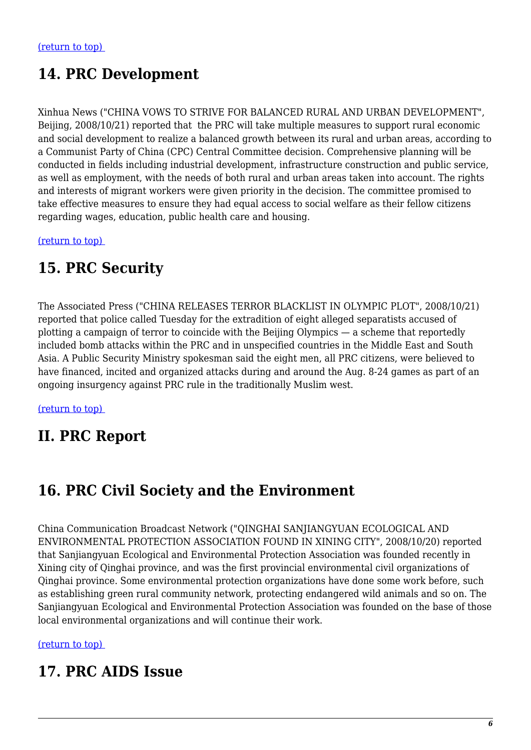# **14. PRC Development**

Xinhua News ("CHINA VOWS TO STRIVE FOR BALANCED RURAL AND URBAN DEVELOPMENT", Beijing, 2008/10/21) reported that the PRC will take multiple measures to support rural economic and social development to realize a balanced growth between its rural and urban areas, according to a Communist Party of China (CPC) Central Committee decision. Comprehensive planning will be conducted in fields including industrial development, infrastructure construction and public service, as well as employment, with the needs of both rural and urban areas taken into account. The rights and interests of migrant workers were given priority in the decision. The committee promised to take effective measures to ensure they had equal access to social welfare as their fellow citizens regarding wages, education, public health care and housing.

<span id="page-5-0"></span>[\(return to top\)](#page-0-0) 

### **15. PRC Security**

The Associated Press ("CHINA RELEASES TERROR BLACKLIST IN OLYMPIC PLOT", 2008/10/21) reported that police called Tuesday for the extradition of eight alleged separatists accused of plotting a campaign of terror to coincide with the Beijing Olympics — a scheme that reportedly included bomb attacks within the PRC and in unspecified countries in the Middle East and South Asia. A Public Security Ministry spokesman said the eight men, all PRC citizens, were believed to have financed, incited and organized attacks during and around the Aug. 8-24 games as part of an ongoing insurgency against PRC rule in the traditionally Muslim west.

[\(return to top\)](#page-0-0) 

### **II. PRC Report**

# <span id="page-5-1"></span>**16. PRC Civil Society and the Environment**

China Communication Broadcast Network ("QINGHAI SANJIANGYUAN ECOLOGICAL AND ENVIRONMENTAL PROTECTION ASSOCIATION FOUND IN XINING CITY", 2008/10/20) reported that Sanjiangyuan Ecological and Environmental Protection Association was founded recently in Xining city of Qinghai province, and was the first provincial environmental civil organizations of Qinghai province. Some environmental protection organizations have done some work before, such as establishing green rural community network, protecting endangered wild animals and so on. The Sanjiangyuan Ecological and Environmental Protection Association was founded on the base of those local environmental organizations and will continue their work.

#### <span id="page-5-2"></span>[\(return to top\)](#page-0-0)

### **17. PRC AIDS Issue**